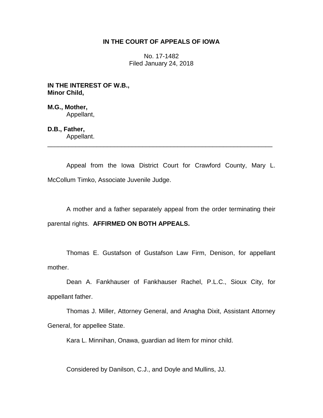## **IN THE COURT OF APPEALS OF IOWA**

No. 17-1482 Filed January 24, 2018

**IN THE INTEREST OF W.B., Minor Child,**

**M.G., Mother,** Appellant,

**D.B., Father,**

Appellant. \_\_\_\_\_\_\_\_\_\_\_\_\_\_\_\_\_\_\_\_\_\_\_\_\_\_\_\_\_\_\_\_\_\_\_\_\_\_\_\_\_\_\_\_\_\_\_\_\_\_\_\_\_\_\_\_\_\_\_\_\_\_\_\_

Appeal from the Iowa District Court for Crawford County, Mary L. McCollum Timko, Associate Juvenile Judge.

A mother and a father separately appeal from the order terminating their parental rights. **AFFIRMED ON BOTH APPEALS.**

Thomas E. Gustafson of Gustafson Law Firm, Denison, for appellant mother.

Dean A. Fankhauser of Fankhauser Rachel, P.L.C., Sioux City, for appellant father.

Thomas J. Miller, Attorney General, and Anagha Dixit, Assistant Attorney General, for appellee State.

Kara L. Minnihan, Onawa, guardian ad litem for minor child.

Considered by Danilson, C.J., and Doyle and Mullins, JJ.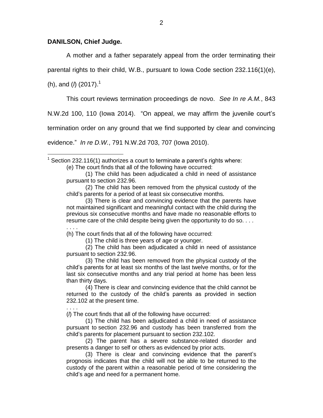## **DANILSON, Chief Judge.**

A mother and a father separately appeal from the order terminating their

parental rights to their child, W.B., pursuant to Iowa Code section 232.116(1)(e),

(h), and (*l*) (2017).<sup>1</sup>

 $\overline{a}$ 

This court reviews termination proceedings de novo. *See In re A.M.*, 843

N.W.2d 100, 110 (Iowa 2014). "On appeal, we may affirm the juvenile court's

termination order on any ground that we find supported by clear and convincing

evidence." *In re D.W.*, 791 N.W.2d 703, 707 (Iowa 2010).

 $1$  Section 232.116(1) authorizes a court to terminate a parent's rights where:

(e) The court finds that all of the following have occurred:

(1) The child has been adjudicated a child in need of assistance pursuant to section 232.96.

(2) The child has been removed from the physical custody of the child's parents for a period of at least six consecutive months.

(3) There is clear and convincing evidence that the parents have not maintained significant and meaningful contact with the child during the previous six consecutive months and have made no reasonable efforts to resume care of the child despite being given the opportunity to do so. . . . . . . .

(h) The court finds that all of the following have occurred:

(1) The child is three years of age or younger.

(2) The child has been adjudicated a child in need of assistance pursuant to section 232.96.

(3) The child has been removed from the physical custody of the child's parents for at least six months of the last twelve months, or for the last six consecutive months and any trial period at home has been less than thirty days.

(4) There is clear and convincing evidence that the child cannot be returned to the custody of the child's parents as provided in section 232.102 at the present time.

. . . .

(*l*) The court finds that all of the following have occurred:

(1) The child has been adjudicated a child in need of assistance pursuant to section 232.96 and custody has been transferred from the child's parents for placement pursuant to section 232.102.

(2) The parent has a severe substance-related disorder and presents a danger to self or others as evidenced by prior acts.

(3) There is clear and convincing evidence that the parent's prognosis indicates that the child will not be able to be returned to the custody of the parent within a reasonable period of time considering the child's age and need for a permanent home.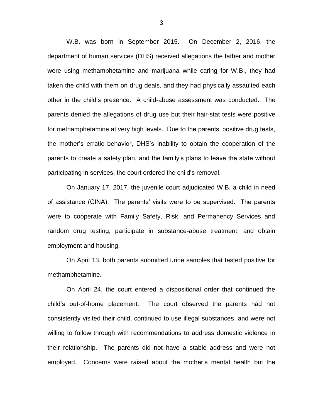W.B. was born in September 2015. On December 2, 2016, the department of human services (DHS) received allegations the father and mother were using methamphetamine and marijuana while caring for W.B., they had taken the child with them on drug deals, and they had physically assaulted each other in the child's presence. A child-abuse assessment was conducted. The parents denied the allegations of drug use but their hair-stat tests were positive for methamphetamine at very high levels. Due to the parents' positive drug tests, the mother's erratic behavior, DHS's inability to obtain the cooperation of the parents to create a safety plan, and the family's plans to leave the state without participating in services, the court ordered the child's removal.

On January 17, 2017, the juvenile court adjudicated W.B. a child in need of assistance (CINA). The parents' visits were to be supervised. The parents were to cooperate with Family Safety, Risk, and Permanency Services and random drug testing, participate in substance-abuse treatment, and obtain employment and housing.

On April 13, both parents submitted urine samples that tested positive for methamphetamine.

On April 24, the court entered a dispositional order that continued the child's out-of-home placement. The court observed the parents had not consistently visited their child, continued to use illegal substances, and were not willing to follow through with recommendations to address domestic violence in their relationship. The parents did not have a stable address and were not employed. Concerns were raised about the mother's mental health but the

3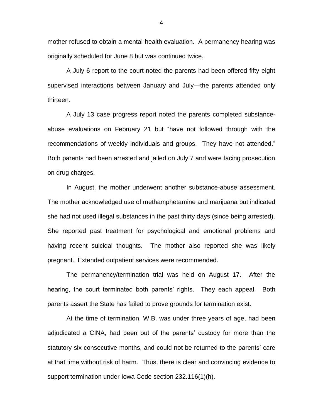mother refused to obtain a mental-health evaluation. A permanency hearing was originally scheduled for June 8 but was continued twice.

A July 6 report to the court noted the parents had been offered fifty-eight supervised interactions between January and July—the parents attended only thirteen.

A July 13 case progress report noted the parents completed substanceabuse evaluations on February 21 but "have not followed through with the recommendations of weekly individuals and groups. They have not attended." Both parents had been arrested and jailed on July 7 and were facing prosecution on drug charges.

In August, the mother underwent another substance-abuse assessment. The mother acknowledged use of methamphetamine and marijuana but indicated she had not used illegal substances in the past thirty days (since being arrested). She reported past treatment for psychological and emotional problems and having recent suicidal thoughts. The mother also reported she was likely pregnant. Extended outpatient services were recommended.

The permanency/termination trial was held on August 17. After the hearing, the court terminated both parents' rights. They each appeal. Both parents assert the State has failed to prove grounds for termination exist.

At the time of termination, W.B. was under three years of age, had been adjudicated a CINA, had been out of the parents' custody for more than the statutory six consecutive months, and could not be returned to the parents' care at that time without risk of harm. Thus, there is clear and convincing evidence to support termination under Iowa Code section 232.116(1)(h).

4